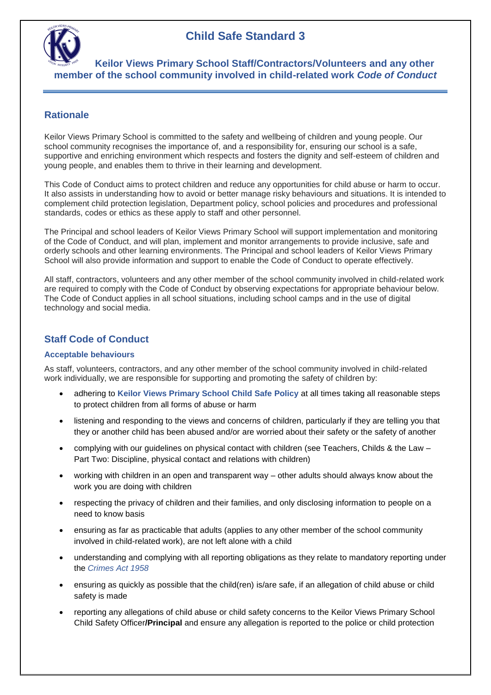

 **Keilor Views Primary School Staff/Contractors/Volunteers and any other member of the school community involved in child-related work** *Code of Conduct*

### **Rationale**

Keilor Views Primary School is committed to the safety and wellbeing of children and young people. Our school community recognises the importance of, and a responsibility for, ensuring our school is a safe, supportive and enriching environment which respects and fosters the dignity and self-esteem of children and young people, and enables them to thrive in their learning and development.

This Code of Conduct aims to protect children and reduce any opportunities for child abuse or harm to occur. It also assists in understanding how to avoid or better manage risky behaviours and situations. It is intended to complement child protection legislation, Department policy, school policies and procedures and professional standards, codes or ethics as these apply to staff and other personnel.

The Principal and school leaders of Keilor Views Primary School will support implementation and monitoring of the Code of Conduct, and will plan, implement and monitor arrangements to provide inclusive, safe and orderly schools and other learning environments. The Principal and school leaders of Keilor Views Primary School will also provide information and support to enable the Code of Conduct to operate effectively.

All staff, contractors, volunteers and any other member of the school community involved in child-related work are required to comply with the Code of Conduct by observing expectations for appropriate behaviour below. The Code of Conduct applies in all school situations, including school camps and in the use of digital technology and social media.

## **Staff Code of Conduct**

#### **Acceptable behaviours**

As staff, volunteers, contractors, and any other member of the school community involved in child-related work individually, we are responsible for supporting and promoting the safety of children by:

- adhering to **Keilor Views Primary School Child Safe Policy** at all times taking all reasonable steps to protect children from all forms of abuse or harm
- listening and responding to the views and concerns of children, particularly if they are telling you that they or another child has been abused and/or are worried about their safety or the safety of another
- complying with our guidelines on physical contact with children (see Teachers, Childs & the Law Part Two: Discipline, physical contact and relations with children)
- working with children in an open and transparent way other adults should always know about the work you are doing with children
- respecting the privacy of children and their families, and only disclosing information to people on a need to know basis
- ensuring as far as practicable that adults (applies to any other member of the school community involved in child-related work), are not left alone with a child
- understanding and complying with all reporting obligations as they relate to mandatory reporting under the *Crimes Act 1958*
- ensuring as quickly as possible that the child(ren) is/are safe, if an allegation of child abuse or child safety is made
- reporting any allegations of child abuse or child safety concerns to the Keilor Views Primary School Child Safety Officer**/Principal** and ensure any allegation is reported to the police or child protection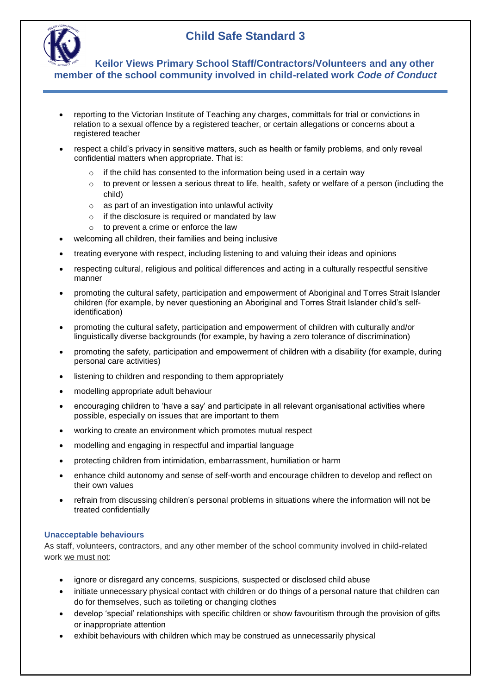

 **Keilor Views Primary School Staff/Contractors/Volunteers and any other member of the school community involved in child-related work** *Code of Conduct*

- reporting to the Victorian Institute of Teaching any charges, committals for trial or convictions in relation to a sexual offence by a registered teacher, or certain allegations or concerns about a registered teacher
- respect a child's privacy in sensitive matters, such as health or family problems, and only reveal confidential matters when appropriate. That is:
	- $\circ$  if the child has consented to the information being used in a certain way
	- $\circ$  to prevent or lessen a serious threat to life, health, safety or welfare of a person (including the child)
	- o as part of an investigation into unlawful activity
	- o if the disclosure is required or mandated by law
	- $\circ$  to prevent a crime or enforce the law
- welcoming all children, their families and being inclusive
- treating everyone with respect, including listening to and valuing their ideas and opinions
- respecting cultural, religious and political differences and acting in a culturally respectful sensitive manner
- promoting the cultural safety, participation and empowerment of Aboriginal and Torres Strait Islander children (for example, by never questioning an Aboriginal and Torres Strait Islander child's selfidentification)
- promoting the cultural safety, participation and empowerment of children with culturally and/or linguistically diverse backgrounds (for example, by having a zero tolerance of discrimination)
- promoting the safety, participation and empowerment of children with a disability (for example, during personal care activities)
- listening to children and responding to them appropriately
- modelling appropriate adult behaviour
- encouraging children to 'have a say' and participate in all relevant organisational activities where possible, especially on issues that are important to them
- working to create an environment which promotes mutual respect
- modelling and engaging in respectful and impartial language
- protecting children from intimidation, embarrassment, humiliation or harm
- enhance child autonomy and sense of self-worth and encourage children to develop and reflect on their own values
- refrain from discussing children's personal problems in situations where the information will not be treated confidentially

#### **Unacceptable behaviours**

As staff, volunteers, contractors, and any other member of the school community involved in child-related work we must not:

- ignore or disregard any concerns, suspicions, suspected or disclosed child abuse
- initiate unnecessary physical contact with children or do things of a personal nature that children can do for themselves, such as toileting or changing clothes
- develop 'special' relationships with specific children or show favouritism through the provision of gifts or inappropriate attention
- exhibit behaviours with children which may be construed as unnecessarily physical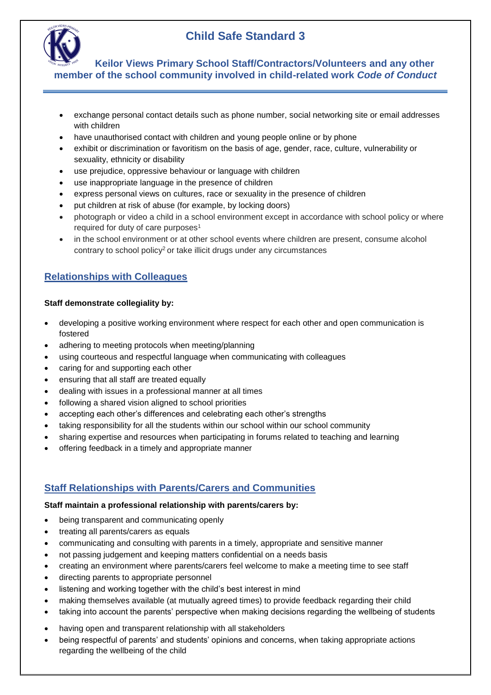

 **Keilor Views Primary School Staff/Contractors/Volunteers and any other member of the school community involved in child-related work** *Code of Conduct*

- exchange personal contact details such as phone number, social networking site or email addresses with children
- have unauthorised contact with children and young people online or by phone
- exhibit or discrimination or favoritism on the basis of age, gender, race, culture, vulnerability or sexuality, ethnicity or disability
- use prejudice, oppressive behaviour or language with children
- use inappropriate language in the presence of children
- express personal views on cultures, race or sexuality in the presence of children
- put children at risk of abuse (for example, by locking doors)
- photograph or video a child in a school environment except in accordance with school policy or where required for duty of care purposes<sup>1</sup>
- in the school environment or at other school events where children are present, consume alcohol contrary to school policy<sup>2</sup> or take illicit drugs under any circumstances

## **Relationships with Colleagues**

#### **Staff demonstrate collegiality by:**

- developing a positive working environment where respect for each other and open communication is fostered
- adhering to meeting protocols when meeting/planning
- using courteous and respectful language when communicating with colleagues
- caring for and supporting each other
- ensuring that all staff are treated equally
- dealing with issues in a professional manner at all times
- following a shared vision aligned to school priorities
- accepting each other's differences and celebrating each other's strengths
- taking responsibility for all the students within our school within our school community
- sharing expertise and resources when participating in forums related to teaching and learning
- offering feedback in a timely and appropriate manner

## **Staff Relationships with Parents/Carers and Communities**

#### **Staff maintain a professional relationship with parents/carers by:**

- being transparent and communicating openly
- treating all parents/carers as equals
- communicating and consulting with parents in a timely, appropriate and sensitive manner
- not passing judgement and keeping matters confidential on a needs basis
- creating an environment where parents/carers feel welcome to make a meeting time to see staff
- directing parents to appropriate personnel
- listening and working together with the child's best interest in mind
- making themselves available (at mutually agreed times) to provide feedback regarding their child
- taking into account the parents' perspective when making decisions regarding the wellbeing of students
- having open and transparent relationship with all stakeholders
- being respectful of parents' and students' opinions and concerns, when taking appropriate actions regarding the wellbeing of the child